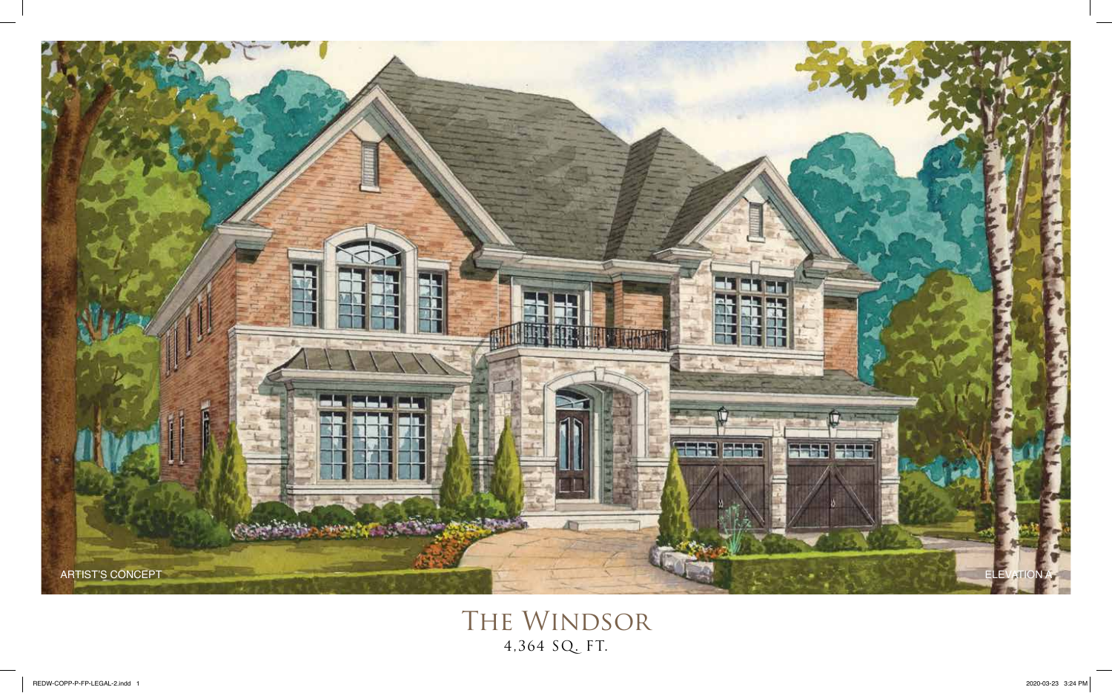

The Windsor 4,364 SQ. FT.